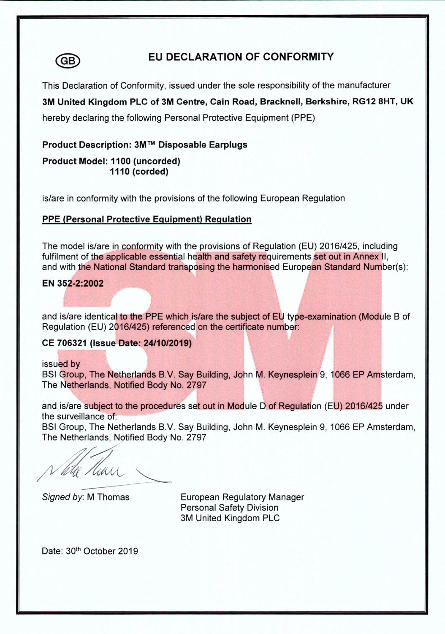

## EU DECLARATION OF CONFORMITY

This Declaration of Conformity, issued under the sole responsibility of the manufacturer

### 3M United Kingdom PLC of 3M Centre, Cain Road, Bracknell, Berkshire, RG12 8HT, UK

hereby declaring the following Personal Protective Equipment (PPE)

### Product Description: 3M™ Disposable Earplugs

**Product Model: 1100 (uncorded)** 1110 (corded)

is/are in conformity with the provisions of the following European Regulation

### **PPE (Personal Protective Equipment) Regulation**

The model is/are in conformity with the provisions of Regulation (EU) 2016/425, including fulfilment of the applicable essential health and safety requirements set out in Annex II, and with the National Standard transposing the harmonised European Standard Number(s):

### EN 352-2:2002

and is/are identical to the PPE which is/are the subject of EU type-examination (Module B of Regulation (EU) 2016/425) referenced on the certificate number:

### CE 706321 (Issue Date: 24/10/2019)

#### issued by

BSI Group, The Netherlands B.V. Say Building, John M. Keynesplein 9, 1066 EP Amsterdam, The Netherlands, Notified Body No. 2797

and is/are subject to the procedures set out in Module D of Regulation (EU) 2016/425 under the surveillance of:

BSI Group, The Netherlands B.V. Say Building, John M. Keynesplein 9, 1066 EP Amsterdam, The Netherlands, Notified Body No. 2797

UMM

Signed by: M Thomas

**European Regulatory Manager Personal Safety Division** 3M United Kingdom PLC

Date: 30th October 2019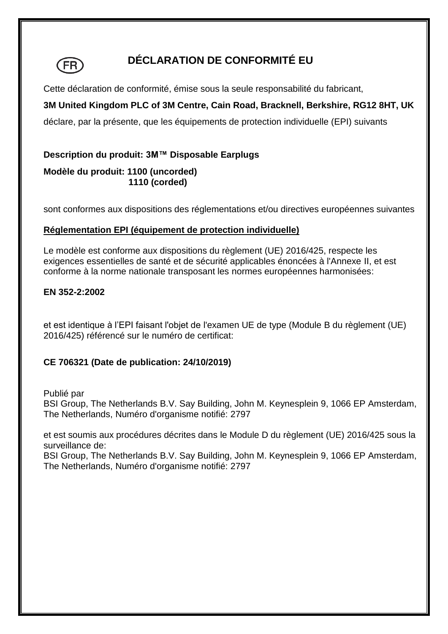

# **DÉCLARATION DE CONFORMITÉ EU**

Cette déclaration de conformité, émise sous la seule responsabilité du fabricant,

## **3M United Kingdom PLC of 3M Centre, Cain Road, Bracknell, Berkshire, RG12 8HT, UK**

déclare, par la présente, que les équipements de protection individuelle (EPI) suivants

### **Description du produit: 3M™ Disposable Earplugs**

### **Modèle du produit: 1100 (uncorded) 1110 (corded)**

sont conformes aux dispositions des réglementations et/ou directives européennes suivantes

### **Réglementation EPI (équipement de protection individuelle)**

Le modèle est conforme aux dispositions du règlement (UE) 2016/425, respecte les exigences essentielles de santé et de sécurité applicables énoncées à l'Annexe II, et est conforme à la norme nationale transposant les normes européennes harmonisées:

### **EN 352-2:2002**

et est identique à l'EPI faisant l'objet de l'examen UE de type (Module B du règlement (UE) 2016/425) référencé sur le numéro de certificat:

### **CE 706321 (Date de publication: 24/10/2019)**

Publié par

BSI Group, The Netherlands B.V. Say Building, John M. Keynesplein 9, 1066 EP Amsterdam, The Netherlands, Numéro d'organisme notifié: 2797

et est soumis aux procédures décrites dans le Module D du règlement (UE) 2016/425 sous la surveillance de:

BSI Group, The Netherlands B.V. Say Building, John M. Keynesplein 9, 1066 EP Amsterdam, The Netherlands, Numéro d'organisme notifié: 2797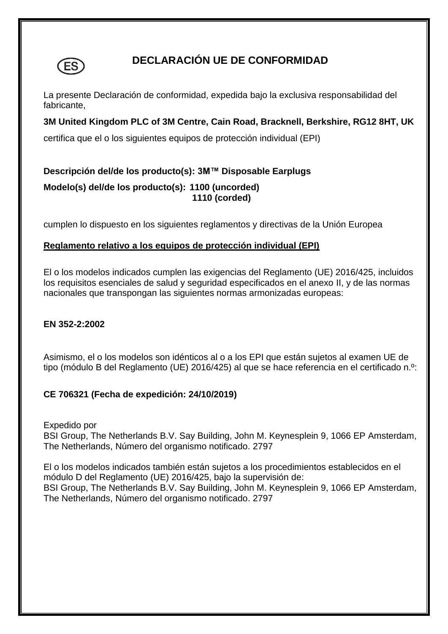

# **DECLARACIÓN UE DE CONFORMIDAD**

La presente Declaración de conformidad, expedida bajo la exclusiva responsabilidad del fabricante,

**3M United Kingdom PLC of 3M Centre, Cain Road, Bracknell, Berkshire, RG12 8HT, UK** 

certifica que el o los siguientes equipos de protección individual (EPI)

## **Descripción del/de los producto(s): 3M™ Disposable Earplugs**

**Modelo(s) del/de los producto(s): 1100 (uncorded) 1110 (corded)**

cumplen lo dispuesto en los siguientes reglamentos y directivas de la Unión Europea

### **Reglamento relativo a los equipos de protección individual (EPI)**

El o los modelos indicados cumplen las exigencias del Reglamento (UE) 2016/425, incluidos los requisitos esenciales de salud y seguridad especificados en el anexo II, y de las normas nacionales que transpongan las siguientes normas armonizadas europeas:

### **EN 352-2:2002**

Asimismo, el o los modelos son idénticos al o a los EPI que están sujetos al examen UE de tipo (módulo B del Reglamento (UE) 2016/425) al que se hace referencia en el certificado n.º:

### **CE 706321 (Fecha de expedición: 24/10/2019)**

Expedido por

BSI Group, The Netherlands B.V. Say Building, John M. Keynesplein 9, 1066 EP Amsterdam, The Netherlands, Número del organismo notificado. 2797

El o los modelos indicados también están sujetos a los procedimientos establecidos en el módulo D del Reglamento (UE) 2016/425, bajo la supervisión de: BSI Group, The Netherlands B.V. Say Building, John M. Keynesplein 9, 1066 EP Amsterdam, The Netherlands, Número del organismo notificado. 2797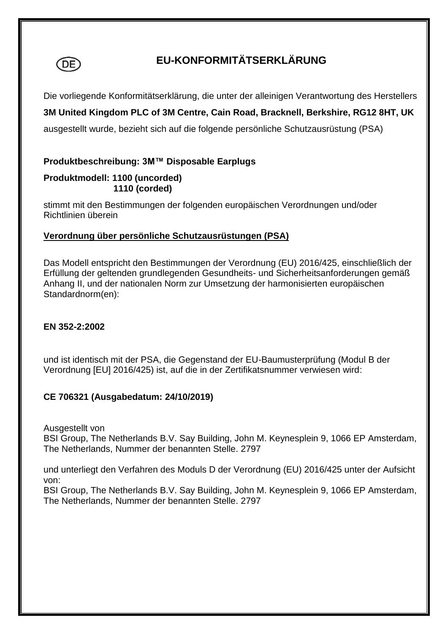

# **EU-KONFORMITÄTSERKLÄRUNG**

Die vorliegende Konformitätserklärung, die unter der alleinigen Verantwortung des Herstellers

**3M United Kingdom PLC of 3M Centre, Cain Road, Bracknell, Berkshire, RG12 8HT, UK** 

ausgestellt wurde, bezieht sich auf die folgende persönliche Schutzausrüstung (PSA)

## **Produktbeschreibung: 3M™ Disposable Earplugs**

### **Produktmodell: 1100 (uncorded) 1110 (corded)**

stimmt mit den Bestimmungen der folgenden europäischen Verordnungen und/oder Richtlinien überein

## **Verordnung über persönliche Schutzausrüstungen (PSA)**

Das Modell entspricht den Bestimmungen der Verordnung (EU) 2016/425, einschließlich der Erfüllung der geltenden grundlegenden Gesundheits- und Sicherheitsanforderungen gemäß Anhang II, und der nationalen Norm zur Umsetzung der harmonisierten europäischen Standardnorm(en):

### **EN 352-2:2002**

und ist identisch mit der PSA, die Gegenstand der EU-Baumusterprüfung (Modul B der Verordnung [EU] 2016/425) ist, auf die in der Zertifikatsnummer verwiesen wird:

## **CE 706321 (Ausgabedatum: 24/10/2019)**

Ausgestellt von

BSI Group, The Netherlands B.V. Say Building, John M. Keynesplein 9, 1066 EP Amsterdam, The Netherlands, Nummer der benannten Stelle. 2797

und unterliegt den Verfahren des Moduls D der Verordnung (EU) 2016/425 unter der Aufsicht von:

BSI Group, The Netherlands B.V. Say Building, John M. Keynesplein 9, 1066 EP Amsterdam, The Netherlands, Nummer der benannten Stelle. 2797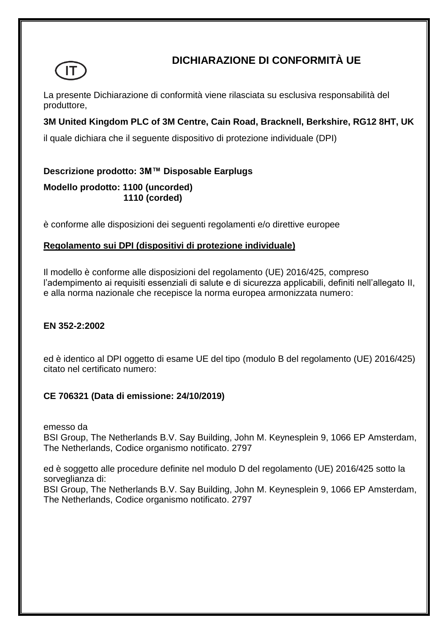

# **DICHIARAZIONE DI CONFORMITÀ UE**

La presente Dichiarazione di conformità viene rilasciata su esclusiva responsabilità del produttore,

## **3M United Kingdom PLC of 3M Centre, Cain Road, Bracknell, Berkshire, RG12 8HT, UK**

il quale dichiara che il seguente dispositivo di protezione individuale (DPI)

## **Descrizione prodotto: 3M™ Disposable Earplugs**

### **Modello prodotto: 1100 (uncorded) 1110 (corded)**

è conforme alle disposizioni dei seguenti regolamenti e/o direttive europee

### **Regolamento sui DPI (dispositivi di protezione individuale)**

Il modello è conforme alle disposizioni del regolamento (UE) 2016/425, compreso l'adempimento ai requisiti essenziali di salute e di sicurezza applicabili, definiti nell'allegato II, e alla norma nazionale che recepisce la norma europea armonizzata numero:

### **EN 352-2:2002**

ed è identico al DPI oggetto di esame UE del tipo (modulo B del regolamento (UE) 2016/425) citato nel certificato numero:

## **CE 706321 (Data di emissione: 24/10/2019)**

emesso da

BSI Group, The Netherlands B.V. Say Building, John M. Keynesplein 9, 1066 EP Amsterdam, The Netherlands, Codice organismo notificato. 2797

ed è soggetto alle procedure definite nel modulo D del regolamento (UE) 2016/425 sotto la sorveglianza di:

BSI Group, The Netherlands B.V. Say Building, John M. Keynesplein 9, 1066 EP Amsterdam, The Netherlands, Codice organismo notificato. 2797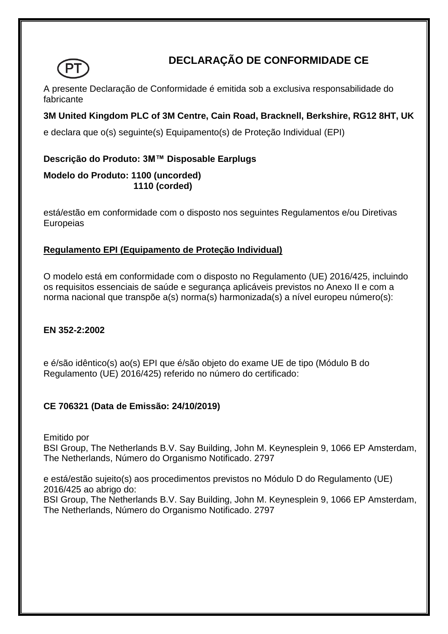

# **DECLARAÇÃO DE CONFORMIDADE CE**

A presente Declaração de Conformidade é emitida sob a exclusiva responsabilidade do fabricante

### **3M United Kingdom PLC of 3M Centre, Cain Road, Bracknell, Berkshire, RG12 8HT, UK**

e declara que o(s) seguinte(s) Equipamento(s) de Proteção Individual (EPI)

## **Descrição do Produto: 3M™ Disposable Earplugs**

### **Modelo do Produto: 1100 (uncorded) 1110 (corded)**

está/estão em conformidade com o disposto nos seguintes Regulamentos e/ou Diretivas **Europeias** 

## **Regulamento EPI (Equipamento de Proteção Individual)**

O modelo está em conformidade com o disposto no Regulamento (UE) 2016/425, incluindo os requisitos essenciais de saúde e segurança aplicáveis previstos no Anexo II e com a norma nacional que transpõe a(s) norma(s) harmonizada(s) a nível europeu número(s):

### **EN 352-2:2002**

e é/são idêntico(s) ao(s) EPI que é/são objeto do exame UE de tipo (Módulo B do Regulamento (UE) 2016/425) referido no número do certificado:

## **CE 706321 (Data de Emissão: 24/10/2019)**

Emitido por

BSI Group, The Netherlands B.V. Say Building, John M. Keynesplein 9, 1066 EP Amsterdam, The Netherlands, Número do Organismo Notificado. 2797

e está/estão sujeito(s) aos procedimentos previstos no Módulo D do Regulamento (UE) 2016/425 ao abrigo do:

BSI Group, The Netherlands B.V. Say Building, John M. Keynesplein 9, 1066 EP Amsterdam, The Netherlands, Número do Organismo Notificado. 2797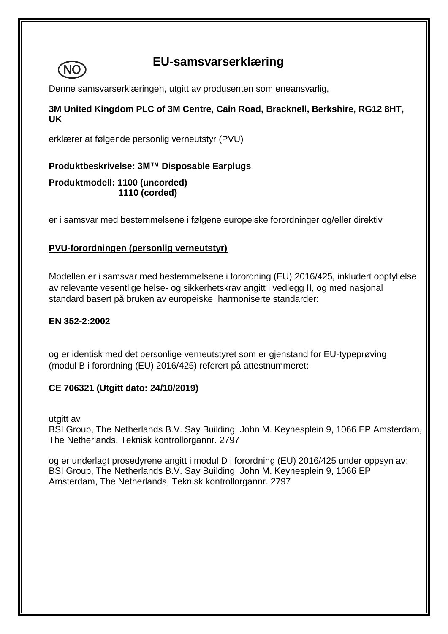

# **EU-samsvarserklæring**

Denne samsvarserklæringen, utgitt av produsenten som eneansvarlig,

### **3M United Kingdom PLC of 3M Centre, Cain Road, Bracknell, Berkshire, RG12 8HT, UK**

erklærer at følgende personlig verneutstyr (PVU)

## **Produktbeskrivelse: 3M™ Disposable Earplugs**

**Produktmodell: 1100 (uncorded) 1110 (corded)**

er i samsvar med bestemmelsene i følgene europeiske forordninger og/eller direktiv

### **PVU-forordningen (personlig verneutstyr)**

Modellen er i samsvar med bestemmelsene i forordning (EU) 2016/425, inkludert oppfyllelse av relevante vesentlige helse- og sikkerhetskrav angitt i vedlegg II, og med nasjonal standard basert på bruken av europeiske, harmoniserte standarder:

### **EN 352-2:2002**

og er identisk med det personlige verneutstyret som er gjenstand for EU-typeprøving (modul B i forordning (EU) 2016/425) referert på attestnummeret:

### **CE 706321 (Utgitt dato: 24/10/2019)**

utgitt av

BSI Group, The Netherlands B.V. Say Building, John M. Keynesplein 9, 1066 EP Amsterdam, The Netherlands, Teknisk kontrollorgannr. 2797

og er underlagt prosedyrene angitt i modul D i forordning (EU) 2016/425 under oppsyn av: BSI Group, The Netherlands B.V. Say Building, John M. Keynesplein 9, 1066 EP Amsterdam, The Netherlands, Teknisk kontrollorgannr. 2797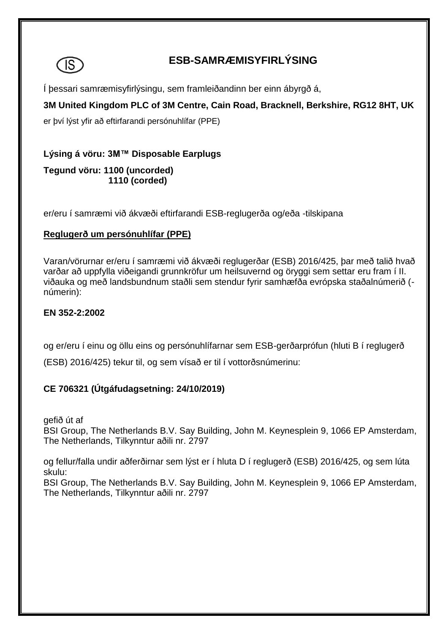

# **ESB-SAMRÆMISYFIRLÝSING**

Í þessari samræmisyfirlýsingu, sem framleiðandinn ber einn ábyrgð á,

## **3M United Kingdom PLC of 3M Centre, Cain Road, Bracknell, Berkshire, RG12 8HT, UK**

er því lýst yfir að eftirfarandi persónuhlífar (PPE)

## **Lýsing á vöru: 3M™ Disposable Earplugs**

**Tegund vöru: 1100 (uncorded) 1110 (corded)**

er/eru í samræmi við ákvæði eftirfarandi ESB-reglugerða og/eða -tilskipana

## **Reglugerð um persónuhlífar (PPE)**

Varan/vörurnar er/eru í samræmi við ákvæði reglugerðar (ESB) 2016/425, þar með talið hvað varðar að uppfylla viðeigandi grunnkröfur um heilsuvernd og öryggi sem settar eru fram í II. viðauka og með landsbundnum staðli sem stendur fyrir samhæfða evrópska staðalnúmerið ( númerin):

### **EN 352-2:2002**

og er/eru í einu og öllu eins og persónuhlífarnar sem ESB-gerðarprófun (hluti B í reglugerð (ESB) 2016/425) tekur til, og sem vísað er til í vottorðsnúmerinu:

### **CE 706321 (Útgáfudagsetning: 24/10/2019)**

gefið út af

BSI Group, The Netherlands B.V. Say Building, John M. Keynesplein 9, 1066 EP Amsterdam, The Netherlands, Tilkynntur aðili nr. 2797

og fellur/falla undir aðferðirnar sem lýst er í hluta D í reglugerð (ESB) 2016/425, og sem lúta skulu:

BSI Group, The Netherlands B.V. Say Building, John M. Keynesplein 9, 1066 EP Amsterdam, The Netherlands, Tilkynntur aðili nr. 2797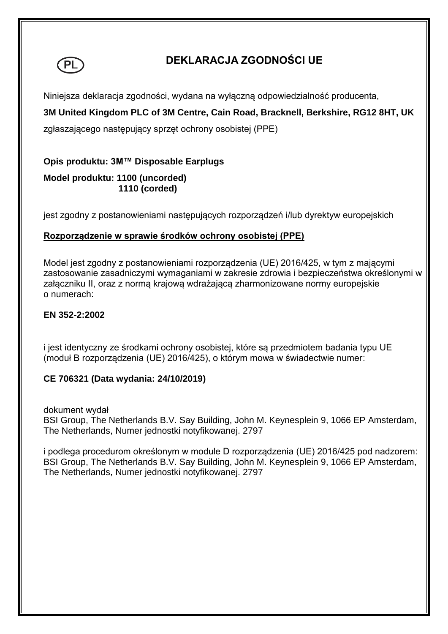

# **DEKLARACJA ZGODNOŚCI UE**

Niniejsza deklaracja zgodności, wydana na wyłączną odpowiedzialność producenta,

**3M United Kingdom PLC of 3M Centre, Cain Road, Bracknell, Berkshire, RG12 8HT, UK** 

zgłaszającego następujący sprzęt ochrony osobistej (PPE)

## **Opis produktu: 3M™ Disposable Earplugs**

### **Model produktu: 1100 (uncorded) 1110 (corded)**

jest zgodny z postanowieniami następujących rozporządzeń i/lub dyrektyw europejskich

## **Rozporządzenie w sprawie środków ochrony osobistej (PPE)**

Model jest zgodny z postanowieniami rozporządzenia (UE) 2016/425, w tym z mającymi zastosowanie zasadniczymi wymaganiami w zakresie zdrowia i bezpieczeństwa określonymi w załączniku II, oraz z normą krajową wdrażającą zharmonizowane normy europejskie o numerach:

### **EN 352-2:2002**

i jest identyczny ze środkami ochrony osobistej, które są przedmiotem badania typu UE (moduł B rozporządzenia (UE) 2016/425), o którym mowa w świadectwie numer:

## **CE 706321 (Data wydania: 24/10/2019)**

dokument wydał BSI Group, The Netherlands B.V. Say Building, John M. Keynesplein 9, 1066 EP Amsterdam, The Netherlands, Numer jednostki notyfikowanej. 2797

i podlega procedurom określonym w module D rozporządzenia (UE) 2016/425 pod nadzorem: BSI Group, The Netherlands B.V. Say Building, John M. Keynesplein 9, 1066 EP Amsterdam, The Netherlands, Numer jednostki notyfikowanej. 2797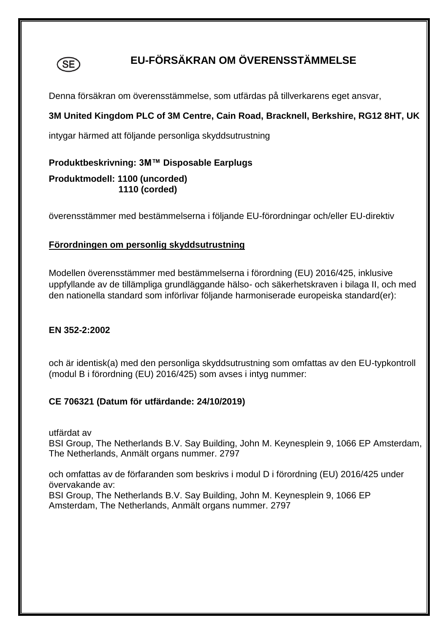

# **EU-FÖRSÄKRAN OM ÖVERENSSTÄMMELSE**

Denna försäkran om överensstämmelse, som utfärdas på tillverkarens eget ansvar,

## **3M United Kingdom PLC of 3M Centre, Cain Road, Bracknell, Berkshire, RG12 8HT, UK**

intygar härmed att följande personliga skyddsutrustning

### **Produktbeskrivning: 3M™ Disposable Earplugs**

#### **Produktmodell: 1100 (uncorded) 1110 (corded)**

överensstämmer med bestämmelserna i följande EU-förordningar och/eller EU-direktiv

### **Förordningen om personlig skyddsutrustning**

Modellen överensstämmer med bestämmelserna i förordning (EU) 2016/425, inklusive uppfyllande av de tillämpliga grundläggande hälso- och säkerhetskraven i bilaga II, och med den nationella standard som införlivar följande harmoniserade europeiska standard(er):

### **EN 352-2:2002**

och är identisk(a) med den personliga skyddsutrustning som omfattas av den EU-typkontroll (modul B i förordning (EU) 2016/425) som avses i intyg nummer:

### **CE 706321 (Datum för utfärdande: 24/10/2019)**

utfärdat av

BSI Group, The Netherlands B.V. Say Building, John M. Keynesplein 9, 1066 EP Amsterdam, The Netherlands, Anmält organs nummer. 2797

och omfattas av de förfaranden som beskrivs i modul D i förordning (EU) 2016/425 under övervakande av:

BSI Group, The Netherlands B.V. Say Building, John M. Keynesplein 9, 1066 EP Amsterdam, The Netherlands, Anmält organs nummer. 2797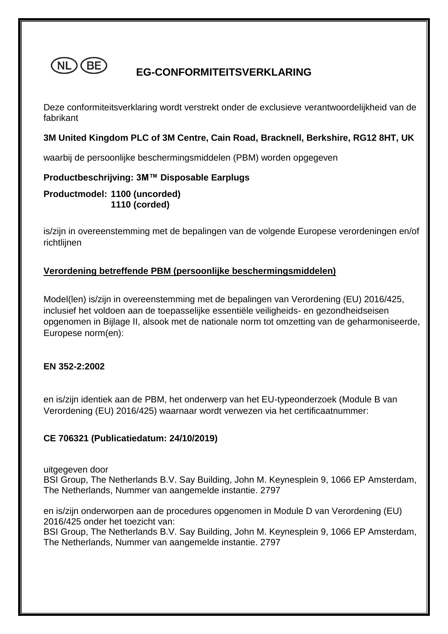

# **EG-CONFORMITEITSVERKLARING**

Deze conformiteitsverklaring wordt verstrekt onder de exclusieve verantwoordelijkheid van de fabrikant

### **3M United Kingdom PLC of 3M Centre, Cain Road, Bracknell, Berkshire, RG12 8HT, UK**

waarbij de persoonlijke beschermingsmiddelen (PBM) worden opgegeven

### **Productbeschrijving: 3M™ Disposable Earplugs**

**Productmodel: 1100 (uncorded) 1110 (corded)**

is/zijn in overeenstemming met de bepalingen van de volgende Europese verordeningen en/of richtlijnen

### **Verordening betreffende PBM (persoonlijke beschermingsmiddelen)**

Model(len) is/zijn in overeenstemming met de bepalingen van Verordening (EU) 2016/425, inclusief het voldoen aan de toepasselijke essentiële veiligheids- en gezondheidseisen opgenomen in Bijlage II, alsook met de nationale norm tot omzetting van de geharmoniseerde, Europese norm(en):

#### **EN 352-2:2002**

en is/zijn identiek aan de PBM, het onderwerp van het EU-typeonderzoek (Module B van Verordening (EU) 2016/425) waarnaar wordt verwezen via het certificaatnummer:

#### **CE 706321 (Publicatiedatum: 24/10/2019)**

uitgegeven door

BSI Group, The Netherlands B.V. Say Building, John M. Keynesplein 9, 1066 EP Amsterdam, The Netherlands, Nummer van aangemelde instantie. 2797

en is/zijn onderworpen aan de procedures opgenomen in Module D van Verordening (EU) 2016/425 onder het toezicht van:

BSI Group, The Netherlands B.V. Say Building, John M. Keynesplein 9, 1066 EP Amsterdam, The Netherlands, Nummer van aangemelde instantie. 2797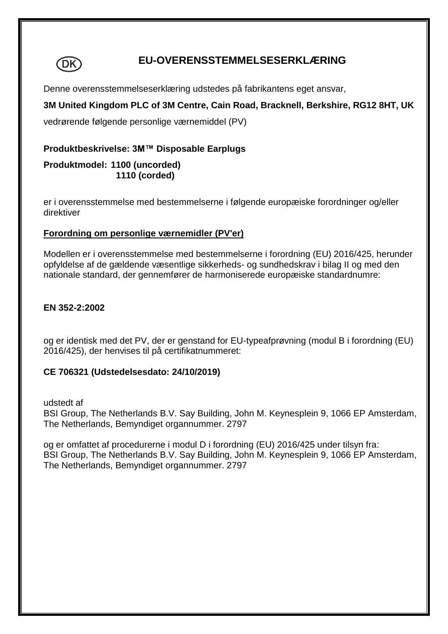

## **EU-OVERENSSTEMMELSESERKLÆRING**

Denne overensstemmelseserklæring udstedes på fabrikantens eget ansvar,

### **3M United Kingdom PLC of 3M Centre, Cain Road, Bracknell, Berkshire, RG12 8HT, UK**

vedrørende følgende personlige værnemiddel (PV)

### **Produktbeskrivelse: 3M™ Disposable Earplugs**

### **Produktmodel: 1100 (uncorded) 1110 (corded)**

er i overensstemmelse med bestemmelserne i følgende europæiske forordninger og/eller direktiver

### **Forordning om personlige værnemidler (PV'er)**

Modellen er i overensstemmelse med bestemmelserne i forordning (EU) 2016/425, herunder opfyldelse af de gældende væsentlige sikkerheds- og sundhedskrav i bilag II og med den nationale standard, der gennemfører de harmoniserede europæiske standardnumre:

#### **EN 352-2:2002**

og er identisk med det PV, der er genstand for EU-typeafprøvning (modul B i forordning (EU) 2016/425), der henvises til på certifikatnummeret:

#### **CE 706321 (Udstedelsesdato: 24/10/2019)**

udstedt af

BSI Group, The Netherlands B.V. Say Building, John M. Keynesplein 9, 1066 EP Amsterdam, The Netherlands, Bemyndiget organnummer. 2797

og er omfattet af procedurerne i modul D i forordning (EU) 2016/425 under tilsyn fra: BSI Group, The Netherlands B.V. Say Building, John M. Keynesplein 9, 1066 EP Amsterdam, The Netherlands, Bemyndiget organnummer. 2797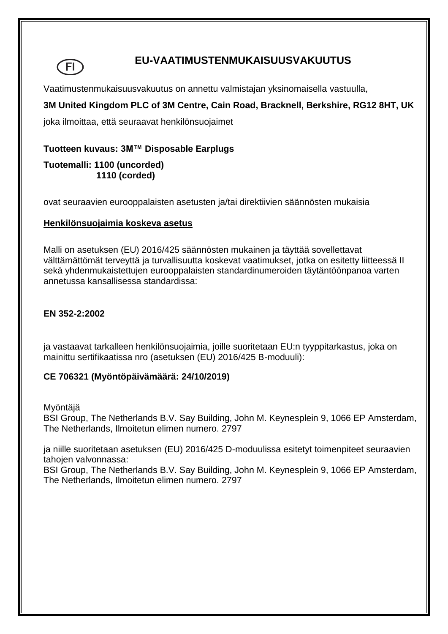

## **EU-VAATIMUSTENMUKAISUUSVAKUUTUS**

Vaatimustenmukaisuusvakuutus on annettu valmistajan yksinomaisella vastuulla,

## **3M United Kingdom PLC of 3M Centre, Cain Road, Bracknell, Berkshire, RG12 8HT, UK**

joka ilmoittaa, että seuraavat henkilönsuojaimet

### **Tuotteen kuvaus: 3M™ Disposable Earplugs**

### **Tuotemalli: 1100 (uncorded) 1110 (corded)**

ovat seuraavien eurooppalaisten asetusten ja/tai direktiivien säännösten mukaisia

#### **Henkilönsuojaimia koskeva asetus**

Malli on asetuksen (EU) 2016/425 säännösten mukainen ja täyttää sovellettavat välttämättömät terveyttä ja turvallisuutta koskevat vaatimukset, jotka on esitetty liitteessä II sekä yhdenmukaistettujen eurooppalaisten standardinumeroiden täytäntöönpanoa varten annetussa kansallisessa standardissa:

#### **EN 352-2:2002**

ja vastaavat tarkalleen henkilönsuojaimia, joille suoritetaan EU:n tyyppitarkastus, joka on mainittu sertifikaatissa nro (asetuksen (EU) 2016/425 B-moduuli):

#### **CE 706321 (Myöntöpäivämäärä: 24/10/2019)**

Myöntäjä

BSI Group, The Netherlands B.V. Say Building, John M. Keynesplein 9, 1066 EP Amsterdam, The Netherlands, Ilmoitetun elimen numero. 2797

ja niille suoritetaan asetuksen (EU) 2016/425 D-moduulissa esitetyt toimenpiteet seuraavien tahojen valvonnassa:

BSI Group, The Netherlands B.V. Say Building, John M. Keynesplein 9, 1066 EP Amsterdam, The Netherlands, Ilmoitetun elimen numero. 2797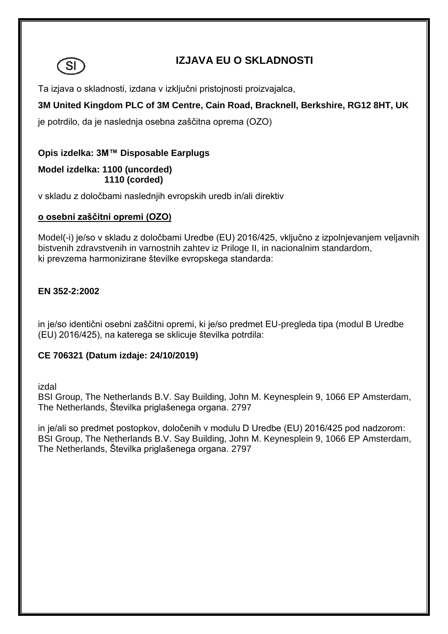

## **IZJAVA EU O SKLADNOSTI**

Ta izjava o skladnosti, izdana v izključni pristojnosti proizvajalca,

## **3M United Kingdom PLC of 3M Centre, Cain Road, Bracknell, Berkshire, RG12 8HT, UK**

je potrdilo, da je naslednja osebna zaščitna oprema (OZO)

### **Opis izdelka: 3M™ Disposable Earplugs**

### **Model izdelka: 1100 (uncorded) 1110 (corded)**

v skladu z določbami naslednjih evropskih uredb in/ali direktiv

### **o osebni zaščitni opremi (OZO)**

Model(-i) je/so v skladu z določbami Uredbe (EU) 2016/425, vključno z izpolnjevanjem veljavnih bistvenih zdravstvenih in varnostnih zahtev iz Priloge II, in nacionalnim standardom, ki prevzema harmonizirane številke evropskega standarda:

### **EN 352-2:2002**

in je/so identični osebni zaščitni opremi, ki je/so predmet EU-pregleda tipa (modul B Uredbe (EU) 2016/425), na katerega se sklicuje številka potrdila:

### **CE 706321 (Datum izdaje: 24/10/2019)**

izdal

BSI Group, The Netherlands B.V. Say Building, John M. Keynesplein 9, 1066 EP Amsterdam, The Netherlands, Številka priglašenega organa. 2797

in je/ali so predmet postopkov, določenih v modulu D Uredbe (EU) 2016/425 pod nadzorom: BSI Group, The Netherlands B.V. Say Building, John M. Keynesplein 9, 1066 EP Amsterdam, The Netherlands, Številka priglašenega organa. 2797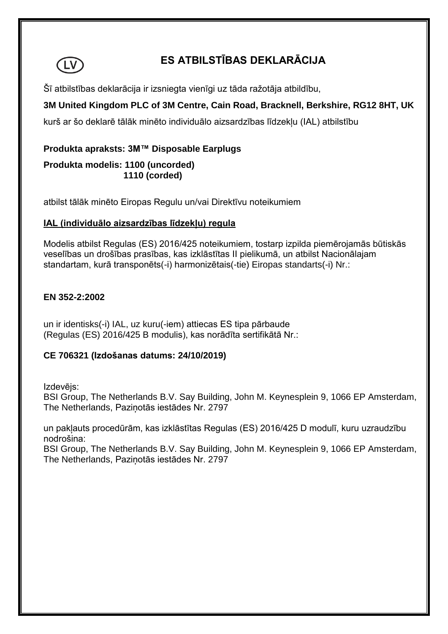

# **ES ATBILSTĪBAS DEKLARĀCIJA**

Šī atbilstības deklarācija ir izsniegta vienīgi uz tāda ražotāja atbildību,

## **3M United Kingdom PLC of 3M Centre, Cain Road, Bracknell, Berkshire, RG12 8HT, UK**

kurš ar šo deklarē tālāk minēto individuālo aizsardzības līdzekļu (IAL) atbilstību

### **Produkta apraksts: 3M™ Disposable Earplugs**

### **Produkta modelis: 1100 (uncorded) 1110 (corded)**

atbilst tālāk minēto Eiropas Regulu un/vai Direktīvu noteikumiem

### **IAL (individuālo aizsardzības līdzekļu) regula**

Modelis atbilst Regulas (ES) 2016/425 noteikumiem, tostarp izpilda piemērojamās būtiskās veselības un drošības prasības, kas izklāstītas II pielikumā, un atbilst Nacionālajam standartam, kurā transponēts(-i) harmonizētais(-tie) Eiropas standarts(-i) Nr.:

### **EN 352-2:2002**

un ir identisks(-i) IAL, uz kuru(-iem) attiecas ES tipa pārbaude (Regulas (ES) 2016/425 B modulis), kas norādīta sertifikātā Nr.:

### **CE 706321 (Izdošanas datums: 24/10/2019)**

Izdevējs:

BSI Group, The Netherlands B.V. Say Building, John M. Keynesplein 9, 1066 EP Amsterdam, The Netherlands, Paziņotās iestādes Nr. 2797

un pakļauts procedūrām, kas izklāstītas Regulas (ES) 2016/425 D modulī, kuru uzraudzību nodrošina:

BSI Group, The Netherlands B.V. Say Building, John M. Keynesplein 9, 1066 EP Amsterdam, The Netherlands, Paziņotās iestādes Nr. 2797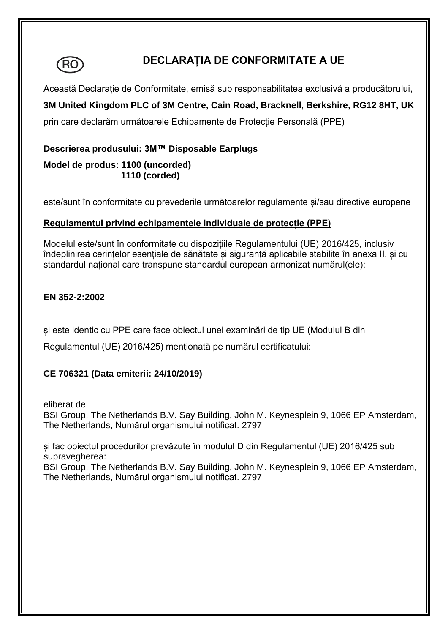

# **DECLARAȚIA DE CONFORMITATE A UE**

Această Declarație de Conformitate, emisă sub responsabilitatea exclusivă a producătorului,

**3M United Kingdom PLC of 3M Centre, Cain Road, Bracknell, Berkshire, RG12 8HT, UK** 

prin care declarăm următoarele Echipamente de Protecție Personală (PPE)

## **Descrierea produsului: 3M™ Disposable Earplugs**

### **Model de produs: 1100 (uncorded) 1110 (corded)**

este/sunt în conformitate cu prevederile următoarelor regulamente și/sau directive europene

## **Regulamentul privind echipamentele individuale de protecție (PPE)**

Modelul este/sunt în conformitate cu dispozițiile Regulamentului (UE) 2016/425, inclusiv îndeplinirea cerințelor esențiale de sănătate și siguranță aplicabile stabilite în anexa II, și cu standardul național care transpune standardul european armonizat numărul(ele):

## **EN 352-2:2002**

și este identic cu PPE care face obiectul unei examinări de tip UE (Modulul B din

Regulamentul (UE) 2016/425) menționată pe numărul certificatului:

## **CE 706321 (Data emiterii: 24/10/2019)**

eliberat de BSI Group, The Netherlands B.V. Say Building, John M. Keynesplein 9, 1066 EP Amsterdam, The Netherlands, Numărul organismului notificat. 2797

și fac obiectul procedurilor prevăzute în modulul D din Regulamentul (UE) 2016/425 sub supravegherea:

BSI Group, The Netherlands B.V. Say Building, John M. Keynesplein 9, 1066 EP Amsterdam, The Netherlands, Numărul organismului notificat. 2797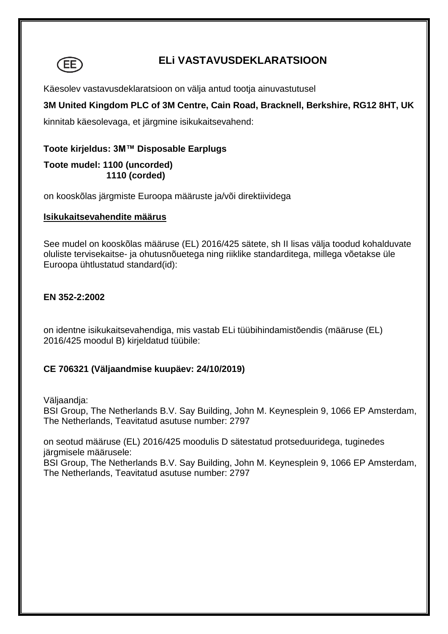

## **ELi VASTAVUSDEKLARATSIOON**

Käesolev vastavusdeklaratsioon on välja antud tootja ainuvastutusel

### **3M United Kingdom PLC of 3M Centre, Cain Road, Bracknell, Berkshire, RG12 8HT, UK**

kinnitab käesolevaga, et järgmine isikukaitsevahend:

### **Toote kirjeldus: 3M™ Disposable Earplugs**

### **Toote mudel: 1100 (uncorded) 1110 (corded)**

on kooskõlas järgmiste Euroopa määruste ja/või direktiividega

#### **Isikukaitsevahendite määrus**

See mudel on kooskõlas määruse (EL) 2016/425 sätete, sh II lisas välja toodud kohalduvate oluliste tervisekaitse- ja ohutusnõuetega ning riiklike standarditega, millega võetakse üle Euroopa ühtlustatud standard(id):

#### **EN 352-2:2002**

on identne isikukaitsevahendiga, mis vastab ELi tüübihindamistõendis (määruse (EL) 2016/425 moodul B) kirjeldatud tüübile:

### **CE 706321 (Väljaandmise kuupäev: 24/10/2019)**

Väljaandja:

BSI Group, The Netherlands B.V. Say Building, John M. Keynesplein 9, 1066 EP Amsterdam, The Netherlands, Teavitatud asutuse number: 2797

on seotud määruse (EL) 2016/425 moodulis D sätestatud protseduuridega, tuginedes järgmisele määrusele:

BSI Group, The Netherlands B.V. Say Building, John M. Keynesplein 9, 1066 EP Amsterdam, The Netherlands, Teavitatud asutuse number: 2797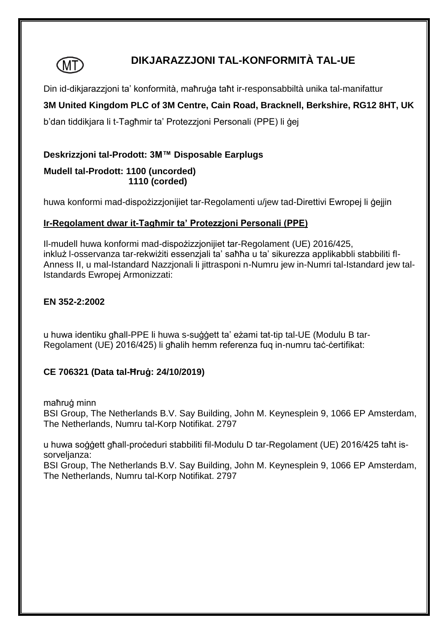

# **DIKJARAZZJONI TAL-KONFORMITÀ TAL-UE**

Din id-dikjarazzjoni ta' konformità, maħruġa taħt ir-responsabbiltà unika tal-manifattur

## **3M United Kingdom PLC of 3M Centre, Cain Road, Bracknell, Berkshire, RG12 8HT, UK**

b'dan tiddikjara li t-Tagħmir ta' Protezzjoni Personali (PPE) li ġej

## **Deskrizzjoni tal-Prodott: 3M™ Disposable Earplugs**

## **Mudell tal-Prodott: 1100 (uncorded) 1110 (corded)**

huwa konformi mad-dispożizzjonijiet tar-Regolamenti u/jew tad-Direttivi Ewropej li ġejjin

### **Ir-Regolament dwar it-Tagħmir ta' Protezzjoni Personali (PPE)**

Il-mudell huwa konformi mad-dispożizzjonijiet tar-Regolament (UE) 2016/425, inkluż l-osservanza tar-rekwiżiti essenzjali ta' saħħa u ta' sikurezza applikabbli stabbiliti fl-Anness II, u mal-Istandard Nazzjonali li jittrasponi n-Numru jew in-Numri tal-Istandard jew tal-Istandards Ewropej Armonizzati:

### **EN 352-2:2002**

u huwa identiku għall-PPE li huwa s-suġġett ta' eżami tat-tip tal-UE (Modulu B tar-Regolament (UE) 2016/425) li għalih hemm referenza fuq in-numru taċ-ċertifikat:

### **CE 706321 (Data tal-Ħruġ: 24/10/2019)**

maħruġ minn BSI Group, The Netherlands B.V. Say Building, John M. Keynesplein 9, 1066 EP Amsterdam, The Netherlands, Numru tal-Korp Notifikat. 2797

u huwa soġġett għall-proċeduri stabbiliti fil-Modulu D tar-Regolament (UE) 2016/425 taħt issorveljanza:

BSI Group, The Netherlands B.V. Say Building, John M. Keynesplein 9, 1066 EP Amsterdam, The Netherlands, Numru tal-Korp Notifikat. 2797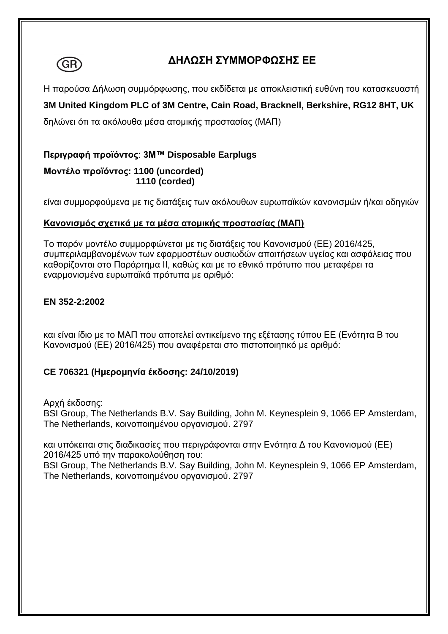

## **ΔΗΛΩΣΗ ΣΥΜΜΟΡΦΩΣΗΣ ΕΕ**

Η παρούσα Δήλωση συμμόρφωσης, που εκδίδεται με αποκλειστική ευθύνη του κατασκευαστή

## **3M United Kingdom PLC of 3M Centre, Cain Road, Bracknell, Berkshire, RG12 8HT, UK**

δηλώνει ότι τα ακόλουθα μέσα ατομικής προστασίας (ΜΑΠ)

## **Περιγραφή προϊόντος**: **3M™ Disposable Earplugs Μοντέλο προϊόντος: 1100 (uncorded)**

## **1110 (corded)**

είναι συμμορφούμενα με τις διατάξεις των ακόλουθων ευρωπαϊκών κανονισμών ή/και οδηγιών

### **Κανονισμός σχετικά με τα μέσα ατομικής προστασίας (ΜΑΠ)**

Το παρόν μοντέλο συμμορφώνεται με τις διατάξεις του Κανονισμού (ΕΕ) 2016/425, συμπεριλαμβανομένων των εφαρμοστέων ουσιωδών απαιτήσεων υγείας και ασφάλειας που καθορίζονται στο Παράρτημα ΙΙ, καθώς και με το εθνικό πρότυπο που μεταφέρει τα εναρμονισμένα ευρωπαϊκά πρότυπα με αριθμό:

### **EN 352-2:2002**

και είναι ίδιο με το ΜΑΠ που αποτελεί αντικείμενο της εξέτασης τύπου ΕΕ (Ενότητα Β του Κανονισμού (ΕΕ) 2016/425) που αναφέρεται στο πιστοποιητικό με αριθμό:

### **CE 706321 (Ημερομηνία έκδοσης: 24/10/2019)**

Αρχή έκδοσης:

BSI Group, The Netherlands B.V. Say Building, John M. Keynesplein 9, 1066 EP Amsterdam, The Netherlands, κοινοποιημένου οργανισμού. 2797

και υπόκειται στις διαδικασίες που περιγράφονται στην Ενότητα Δ του Κανονισμού (ΕΕ) 2016/425 υπό την παρακολούθηση του:

BSI Group, The Netherlands B.V. Say Building, John M. Keynesplein 9, 1066 EP Amsterdam, The Netherlands, κοινοποιημένου οργανισμού. 2797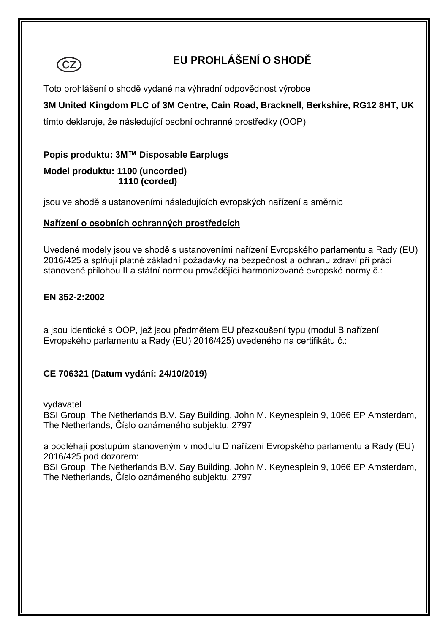

# **EU PROHLÁŠENÍ O SHODĚ**

Toto prohlášení o shodě vydané na výhradní odpovědnost výrobce

## **3M United Kingdom PLC of 3M Centre, Cain Road, Bracknell, Berkshire, RG12 8HT, UK**

tímto deklaruje, že následující osobní ochranné prostředky (OOP)

## **Popis produktu: 3M™ Disposable Earplugs**

## **Model produktu: 1100 (uncorded) 1110 (corded)**

jsou ve shodě s ustanoveními následujících evropských nařízení a směrnic

## **Nařízení o osobních ochranných prostředcích**

Uvedené modely jsou ve shodě s ustanoveními nařízení Evropského parlamentu a Rady (EU) 2016/425 a splňují platné základní požadavky na bezpečnost a ochranu zdraví při práci stanovené přílohou II a státní normou provádějící harmonizované evropské normy č.:

## **EN 352-2:2002**

a jsou identické s OOP, jež jsou předmětem EU přezkoušení typu (modul B nařízení Evropského parlamentu a Rady (EU) 2016/425) uvedeného na certifikátu č.:

## **CE 706321 (Datum vydání: 24/10/2019)**

vydavatel

BSI Group, The Netherlands B.V. Say Building, John M. Keynesplein 9, 1066 EP Amsterdam, The Netherlands, Číslo oznámeného subjektu. 2797

a podléhají postupům stanoveným v modulu D nařízení Evropského parlamentu a Rady (EU) 2016/425 pod dozorem:

BSI Group, The Netherlands B.V. Say Building, John M. Keynesplein 9, 1066 EP Amsterdam, The Netherlands, Číslo oznámeného subjektu. 2797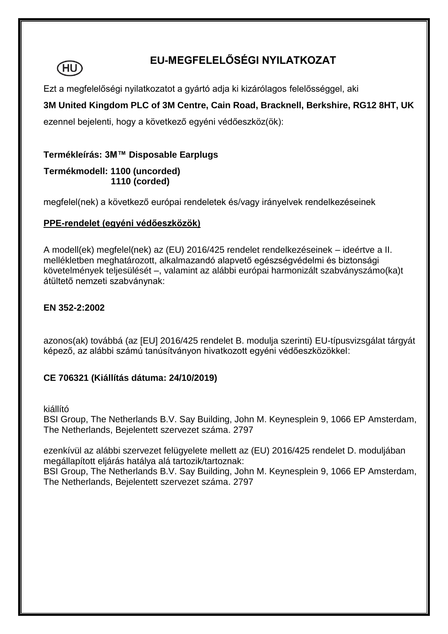

# **EU-MEGFELELŐSÉGI NYILATKOZAT**

Ezt a megfelelőségi nyilatkozatot a gyártó adja ki kizárólagos felelősséggel, aki

## **3M United Kingdom PLC of 3M Centre, Cain Road, Bracknell, Berkshire, RG12 8HT, UK**

ezennel bejelenti, hogy a következő egyéni védőeszköz(ök):

### **Termékleírás: 3M™ Disposable Earplugs**

## **Termékmodell: 1100 (uncorded) 1110 (corded)**

megfelel(nek) a következő európai rendeletek és/vagy irányelvek rendelkezéseinek

### **PPE-rendelet (egyéni védőeszközök)**

A modell(ek) megfelel(nek) az (EU) 2016/425 rendelet rendelkezéseinek – ideértve a II. mellékletben meghatározott, alkalmazandó alapvető egészségvédelmi és biztonsági követelmények teljesülését –, valamint az alábbi európai harmonizált szabványszámo(ka)t átültető nemzeti szabványnak:

### **EN 352-2:2002**

azonos(ak) továbbá (az [EU] 2016/425 rendelet B. modulja szerinti) EU-típusvizsgálat tárgyát képező, az alábbi számú tanúsítványon hivatkozott egyéni védőeszközökkel:

### **CE 706321 (Kiállítás dátuma: 24/10/2019)**

kiállító

BSI Group, The Netherlands B.V. Say Building, John M. Keynesplein 9, 1066 EP Amsterdam, The Netherlands, Bejelentett szervezet száma. 2797

ezenkívül az alábbi szervezet felügyelete mellett az (EU) 2016/425 rendelet D. moduljában megállapított eljárás hatálya alá tartozik/tartoznak:

BSI Group, The Netherlands B.V. Say Building, John M. Keynesplein 9, 1066 EP Amsterdam, The Netherlands, Bejelentett szervezet száma. 2797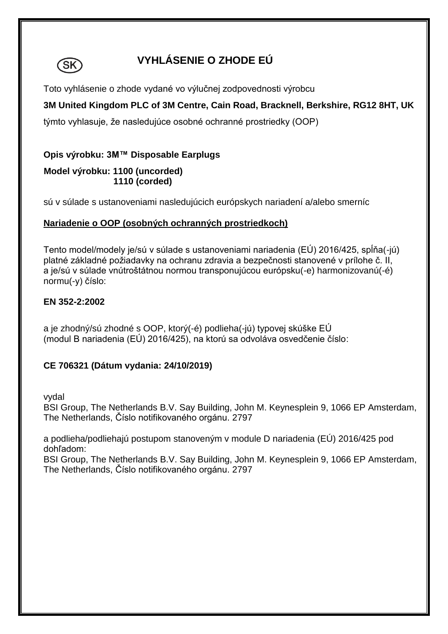

# **VYHLÁSENIE O ZHODE EÚ**

Toto vyhlásenie o zhode vydané vo výlučnej zodpovednosti výrobcu

## **3M United Kingdom PLC of 3M Centre, Cain Road, Bracknell, Berkshire, RG12 8HT, UK**

týmto vyhlasuje, že nasledujúce osobné ochranné prostriedky (OOP)

## **Opis výrobku: 3M™ Disposable Earplugs**

## **Model výrobku: 1100 (uncorded) 1110 (corded)**

sú v súlade s ustanoveniami nasledujúcich európskych nariadení a/alebo smerníc

### **Nariadenie o OOP (osobných ochranných prostriedkoch)**

Tento model/modely je/sú v súlade s ustanoveniami nariadenia (EÚ) 2016/425, spĺňa(-jú) platné základné požiadavky na ochranu zdravia a bezpečnosti stanovené v prílohe č. II, a je/sú v súlade vnútroštátnou normou transponujúcou európsku(-e) harmonizovanú(-é) normu(-y) číslo:

### **EN 352-2:2002**

a je zhodný/sú zhodné s OOP, ktorý(-é) podlieha(-jú) typovej skúške EÚ (modul B nariadenia (EÚ) 2016/425), na ktorú sa odvoláva osvedčenie číslo:

### **CE 706321 (Dátum vydania: 24/10/2019)**

vydal

BSI Group, The Netherlands B.V. Say Building, John M. Keynesplein 9, 1066 EP Amsterdam, The Netherlands, Číslo notifikovaného orgánu. 2797

a podlieha/podliehajú postupom stanoveným v module D nariadenia (EÚ) 2016/425 pod dohľadom:

BSI Group, The Netherlands B.V. Say Building, John M. Keynesplein 9, 1066 EP Amsterdam, The Netherlands, Číslo notifikovaného orgánu. 2797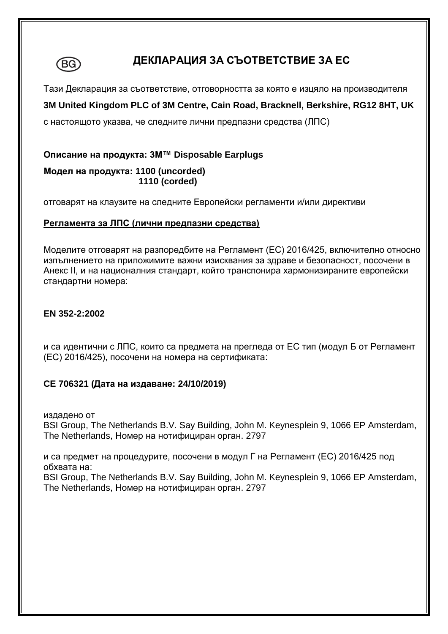

## **ДЕКЛАРАЦИЯ ЗА СЪОТВЕТСТВИЕ ЗА ЕС**

Тази Декларация за съответствие, отговорността за която е изцяло на производителя

**3M United Kingdom PLC of 3M Centre, Cain Road, Bracknell, Berkshire, RG12 8HT, UK** 

с настоящото указва, че следните лични предпазни средства (ЛПС)

## **Описание на продукта: 3M™ Disposable Earplugs**

### **Модел на продукта: 1100 (uncorded) 1110 (corded)**

отговарят на клаузите на следните Европейски регламенти и/или директиви

#### **Регламента за ЛПС (лични предпазни средства)**

Моделите отговарят на разпоредбите на Регламент (ЕС) 2016/425, включително относно изпълнението на приложимите важни изисквания за здраве и безопасност, посочени в Анекс II, и на националния стандарт, който транспонира хармонизираните европейски стандартни номера:

### **EN 352-2:2002**

и са идентични с ЛПС, които са предмета на прегледа от ЕС тип (модул Б от Регламент (ЕС) 2016/425), посочени на номера на сертификата:

### **CE 706321 (Дата на издаване: 24/10/2019)**

издадено от BSI Group, The Netherlands B.V. Say Building, John M. Keynesplein 9, 1066 EP Amsterdam, The Netherlands, Номер на нотифициран орган. 2797

и са предмет на процедурите, посочени в модул Г на Регламент (ЕС) 2016/425 под обхвата на:

BSI Group, The Netherlands B.V. Say Building, John M. Keynesplein 9, 1066 EP Amsterdam, The Netherlands, Номер на нотифициран орган. 2797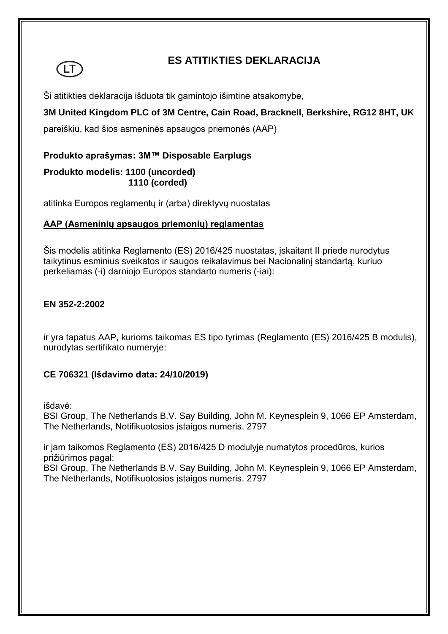

# **ES ATITIKTIES DEKLARACIJA**

Ši atitikties deklaracija išduota tik gamintojo išimtine atsakomybe,

## **3M United Kingdom PLC of 3M Centre, Cain Road, Bracknell, Berkshire, RG12 8HT, UK**

pareiškiu, kad šios asmeninės apsaugos priemonės (AAP)

### **Produkto aprašymas: 3M™ Disposable Earplugs**

### **Produkto modelis: 1100 (uncorded) 1110 (corded)**

atitinka Europos reglamentų ir (arba) direktyvų nuostatas

### **AAP (Asmeninių apsaugos priemonių) reglamentas**

Šis modelis atitinka Reglamento (ES) 2016/425 nuostatas, įskaitant II priede nurodytus taikytinus esminius sveikatos ir saugos reikalavimus bei Nacionalinį standartą, kuriuo perkeliamas (-i) darniojo Europos standarto numeris (-iai):

## **EN 352-2:2002**

ir yra tapatus AAP, kurioms taikomas ES tipo tyrimas (Reglamento (ES) 2016/425 B modulis), nurodytas sertifikato numeryje:

## **CE 706321 (Išdavimo data: 24/10/2019)**

išdavė:

BSI Group, The Netherlands B.V. Say Building, John M. Keynesplein 9, 1066 EP Amsterdam, The Netherlands, Notifikuotosios įstaigos numeris. 2797

ir jam taikomos Reglamento (ES) 2016/425 D modulyje numatytos procedūros, kurios prižiūrimos pagal:

BSI Group, The Netherlands B.V. Say Building, John M. Keynesplein 9, 1066 EP Amsterdam, The Netherlands, Notifikuotosios įstaigos numeris. 2797